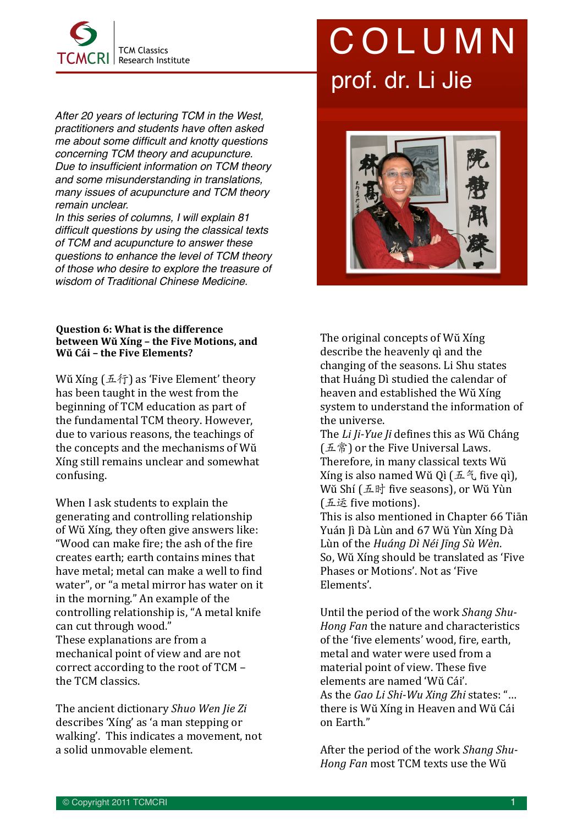

*After 20 years of lecturing TCM in the West, practitioners and students have often asked*  me about some difficult and knotty questions *concerning TCM theory and acupuncture.* Due to insufficient information on TCM theory *and some misunderstanding in translations, many issues of acupuncture and TCM theory remain unclear.* 

*In this series of columns, I will explain 81*  difficult questions by using the classical texts *of TCM and acupuncture to answer these*  questions to enhance the level of TCM theory *of those who desire to explore the treasure of wisdom of Traditional Chinese Medicine.*

## **Question 6: What is the difference** between Wŭ Xíng – the Five Motions, and **Wŭ Cái - the Five Elements?**

Wŭ Xíng  $( \mathbb{A} \mathcal{H} )$  as 'Five Element' theory has been taught in the west from the beginning of TCM education as part of the fundamental TCM theory. However, due to various reasons, the teachings of the concepts and the mechanisms of Wŭ Xing still remains unclear and somewhat confusing.

When I ask students to explain the generating and controlling relationship of Wŭ Xíng, they often give answers like: "Wood can make fire; the ash of the fire creates earth; earth contains mines that have metal; metal can make a well to find water", or "a metal mirror has water on it in the morning." An example of the controlling relationship is, "A metal knife can cut through wood." These explanations are from a mechanical point of view and are not correct according to the root of  $TCM$ the TCM classics.

The ancient dictionary *Shuo Wen Jie Zi* describes 'Xíng' as 'a man stepping or walking'. This indicates a movement, not a solid unmovable element.

## COLUMN prof. dr. Li Jie



The original concepts of Wŭ Xíng describe the heavenly qì and the changing of the seasons. Li Shu states that Huáng Dì studied the calendar of heaven and established the Wŭ Xíng system to understand the information of the universe.

The *Li Ji-Yue Ji* defines this as Wŭ Cháng (五常) or the Five Universal Laws. Therefore, in many classical texts Wŭ Xíng is also named Wŭ Qì (五气 five qì), Wŭ Shí (五时 five seasons), or Wŭ Yùn (五运 five motions).

This is also mentioned in Chapter 66 Tiān Yuán Jì Dà Lùn and 67 Wŭ Yùn Xíng Dà Lùn of the *Huáng Dì Néi Jīng Sù Wèn*. So. Wŭ Xíng should be translated as 'Five Phases or Motions'. Not as 'Five Elements'.

Until the period of the work *Shang Shu-*Hong Fan the nature and characteristics of the 'five elements' wood, fire, earth, metal and water were used from a material point of view. These five elements are named 'Wŭ Cái'. As the *Gao Li Shi-Wu Xing Zhi* states: "... there is Wŭ Xíng in Heaven and Wŭ Cái on Earth."

After the period of the work Shang Shu-Hong Fan most TCM texts use the Wŭ